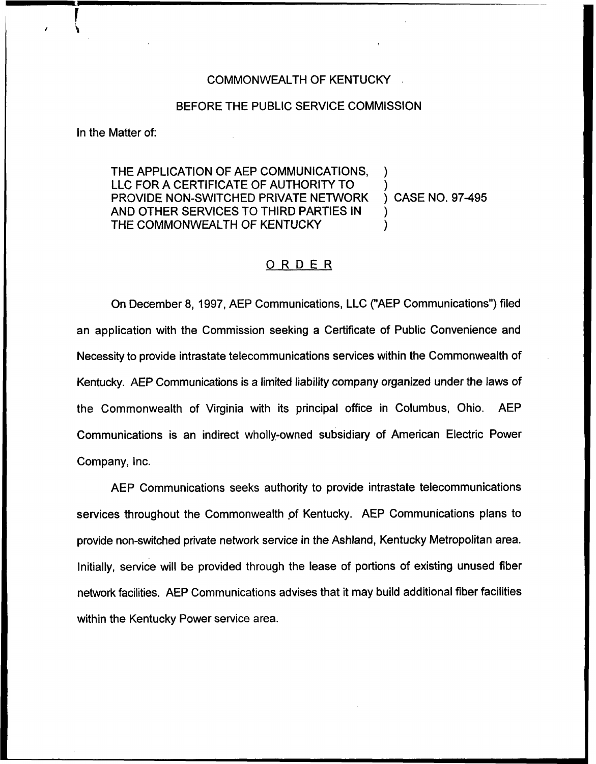## COMMONWEALTH OF KENTUCKY

## BEFORE THE PUBLIC SERVICE COMMISSION

In the Matter of:

THE APPLICATION OF AEP COMMUNICATIONS, LLC FOR A CERTIFICATE OF AUTHORITY TO  $\overline{a}$  ) case no. 97-495 PROVIDE NON-SWITCHED PRIVATE NETWORK AND OTHER SERVICES TO THIRD PARTIES IN } THE COMMONWEALTH OF KENTUCKY

## ORDER

On December 8, 1997, AEP Communications, LLC ("AEP Communications") filed an application with the Commission seeking a Certificate of Public Convenience and Necessity to provide intrastate telecommunications services within the Commonwealth of Kentucky. AEP Communications is a limited liability company organized under the laws of the Commonwealth of Virginia with its principal office in Columbus, Ohio. AEP Communications is an indirect wholly-owned subsidiary of American Electric Power Company, Inc.

AEP Communications seeks authority to provide intrastate telecommunications services throughout the Commonwealth of Kentucky. AEP Communications plans to provide non-switched private network service in the Ashland, Kentucky Metropolitan area. Initially, service will be provided through the lease of portions of existing unused fiber network facilities. AEP Communications advises that it may build additional fiber facilities within the Kentucky Power service area.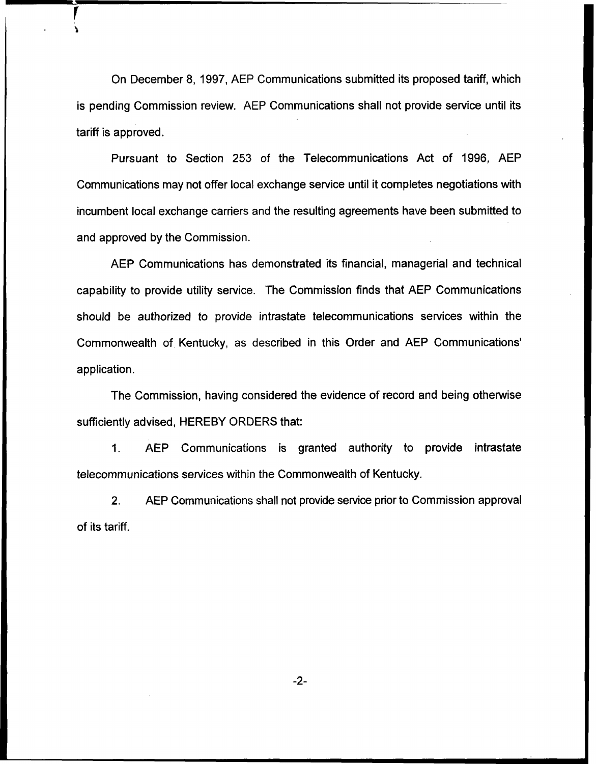On December 8, 1997, AEP Communications submitted its proposed tariff, which is pending Commission review. AEP Communications shall not provide service until its tariff is approved.

Pursuant to Section 253 of the Telecommunications Act of 1996, AEP Communications may not offer local exchange service until it completes negotiations with incumbent local exchange carriers and the resulting agreements have been submitted to and approved by the Commission.

AEP Communications has demonstrated its financial, managerial and technical capability to provide utility service. The Commission finds that AEP Communications should be authorized to provide intrastate telecommunications services within the Commonwealth of Kentucky, as described in this Order and AEP application.

The Commission, having considered the evidence of record and being otherwise sufficiently advised, HEREBY ORDERS that:

 $1<sub>1</sub>$ AEP Communications is granted authority to provide intrastate telecommunications services within the Commonwealth of Kentucky.

2. AEP Communications shall not provide service prior to Commission approval of its tariff.

 $-2-$